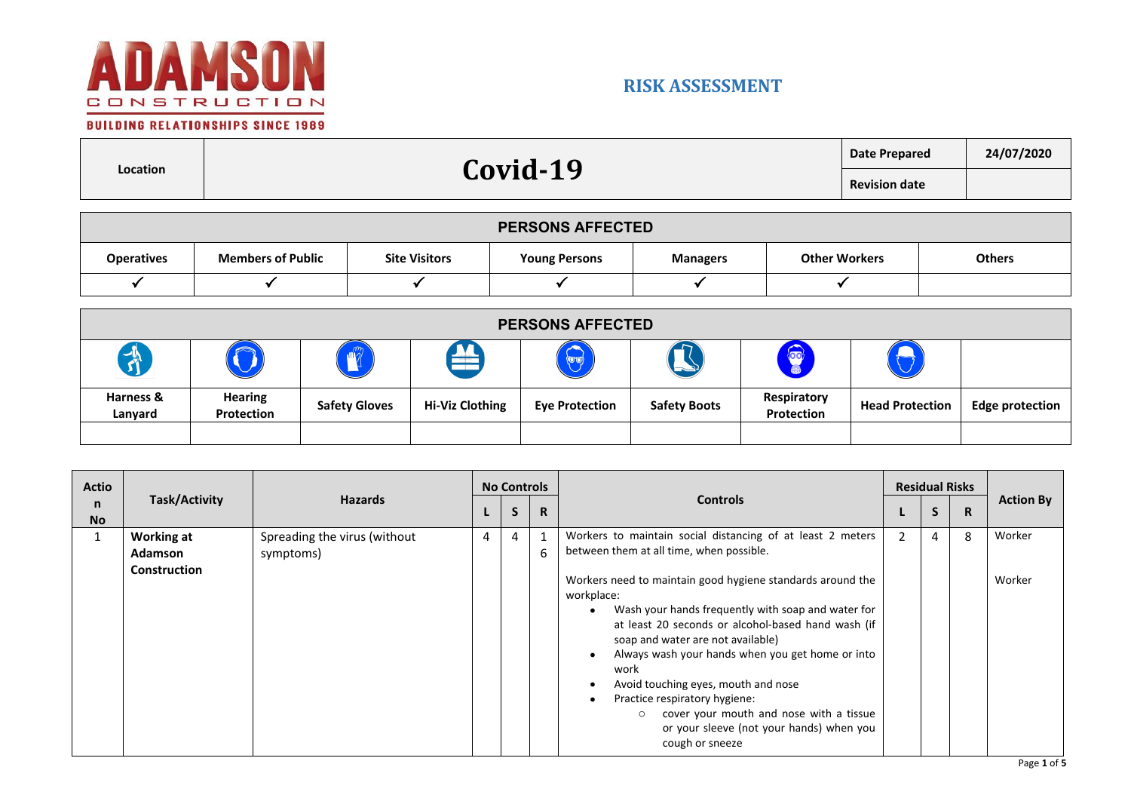

### **BUILDING RELATIONSHIPS SINCE 1989**

п

|          | <b>19</b> | Date Prepared        | 24/07/2020 |
|----------|-----------|----------------------|------------|
| Location | Covid-    | <b>Revision date</b> |            |
|          |           |                      |            |

| <b>PERSONS AFFECTED</b> |                          |                      |                      |                 |                      |               |  |  |  |
|-------------------------|--------------------------|----------------------|----------------------|-----------------|----------------------|---------------|--|--|--|
| <b>Operatives</b>       | <b>Members of Public</b> | <b>Site Visitors</b> | <b>Young Persons</b> | <b>Managers</b> | <b>Other Workers</b> | <b>Others</b> |  |  |  |
|                         |                          |                      |                      |                 |                      |               |  |  |  |

|                      | <b>PERSONS AFFECTED</b>      |                      |                        |                       |                     |                           |                        |                        |  |  |
|----------------------|------------------------------|----------------------|------------------------|-----------------------|---------------------|---------------------------|------------------------|------------------------|--|--|
| $\mathbf{v}$         |                              | $\mathbf{m}$         |                        |                       |                     |                           |                        |                        |  |  |
| Harness &<br>Lanyard | <b>Hearing</b><br>Protection | <b>Safety Gloves</b> | <b>Hi-Viz Clothing</b> | <b>Eye Protection</b> | <b>Safety Boots</b> | Respiratory<br>Protection | <b>Head Protection</b> | <b>Edge protection</b> |  |  |
|                      |                              |                      |                        |                       |                     |                           |                        |                        |  |  |

| <b>Actio</b>   |                                                            |                                           |   |   | <b>No Controls</b> |                                                                                                                                                                                                                                                                                                                                                                                                                                                                                                                                                                                              |   |   |              | <b>Residual Risks</b> |  | <b>Action By</b> |
|----------------|------------------------------------------------------------|-------------------------------------------|---|---|--------------------|----------------------------------------------------------------------------------------------------------------------------------------------------------------------------------------------------------------------------------------------------------------------------------------------------------------------------------------------------------------------------------------------------------------------------------------------------------------------------------------------------------------------------------------------------------------------------------------------|---|---|--------------|-----------------------|--|------------------|
| n<br><b>No</b> |                                                            | Task/Activity<br><b>Hazards</b>           |   | S | $\mathsf{R}$       | <b>Controls</b>                                                                                                                                                                                                                                                                                                                                                                                                                                                                                                                                                                              |   | S | $\mathsf{R}$ |                       |  |                  |
| $\mathbf{1}$   | <b>Working at</b><br><b>Adamson</b><br><b>Construction</b> | Spreading the virus (without<br>symptoms) | 4 | 4 | $\mathbf{1}$<br>6  | Workers to maintain social distancing of at least 2 meters<br>between them at all time, when possible.<br>Workers need to maintain good hygiene standards around the<br>workplace:<br>Wash your hands frequently with soap and water for<br>at least 20 seconds or alcohol-based hand wash (if<br>soap and water are not available)<br>Always wash your hands when you get home or into<br>work<br>Avoid touching eyes, mouth and nose<br>Practice respiratory hygiene:<br>cover your mouth and nose with a tissue<br>$\circ$<br>or your sleeve (not your hands) when you<br>cough or sneeze | 2 | 4 | 8            | Worker<br>Worker      |  |                  |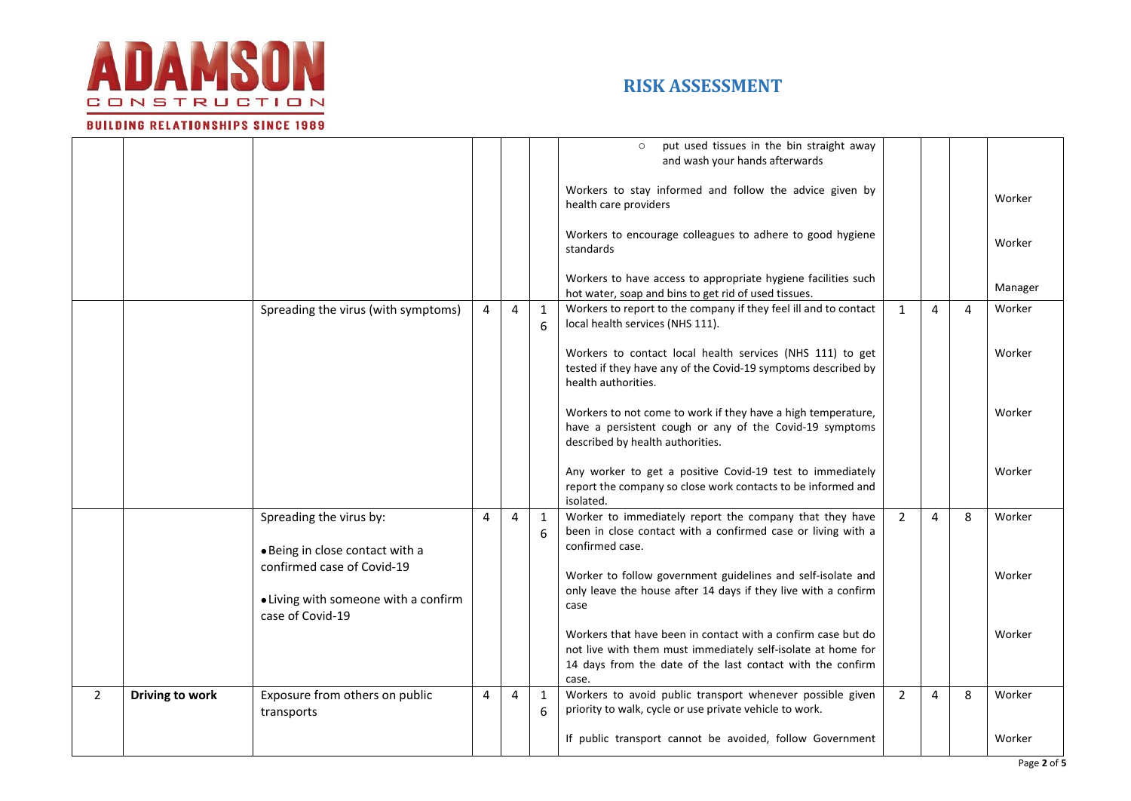

#### **BUILDING RELATIONSHIPS SINCE 1989**

|                |                 |                                                                                        |                |                |                   | put used tissues in the bin straight away<br>and wash your hands afterwards                                                                                                                         |                |   |   |         |
|----------------|-----------------|----------------------------------------------------------------------------------------|----------------|----------------|-------------------|-----------------------------------------------------------------------------------------------------------------------------------------------------------------------------------------------------|----------------|---|---|---------|
|                |                 |                                                                                        |                |                |                   | Workers to stay informed and follow the advice given by<br>health care providers                                                                                                                    |                |   |   | Worker  |
|                |                 |                                                                                        |                |                |                   | Workers to encourage colleagues to adhere to good hygiene<br>standards                                                                                                                              |                |   |   | Worker  |
|                |                 |                                                                                        |                |                |                   | Workers to have access to appropriate hygiene facilities such<br>hot water, soap and bins to get rid of used tissues.                                                                               |                |   |   | Manager |
|                |                 | Spreading the virus (with symptoms)                                                    | $\overline{4}$ | $\overline{4}$ | $\mathbf{1}$<br>6 | Workers to report to the company if they feel ill and to contact<br>local health services (NHS 111).                                                                                                | $\mathbf{1}$   | 4 | 4 | Worker  |
|                |                 |                                                                                        |                |                |                   | Workers to contact local health services (NHS 111) to get<br>tested if they have any of the Covid-19 symptoms described by<br>health authorities.                                                   |                |   |   | Worker  |
|                |                 |                                                                                        |                |                |                   | Workers to not come to work if they have a high temperature,<br>have a persistent cough or any of the Covid-19 symptoms<br>described by health authorities.                                         |                |   |   | Worker  |
|                |                 |                                                                                        |                |                |                   | Any worker to get a positive Covid-19 test to immediately<br>report the company so close work contacts to be informed and<br>isolated.                                                              |                |   |   | Worker  |
|                |                 | Spreading the virus by:<br>· Being in close contact with a                             | 4              | $\overline{4}$ | $\mathbf{1}$<br>6 | Worker to immediately report the company that they have<br>been in close contact with a confirmed case or living with a<br>confirmed case.                                                          | $\overline{2}$ | 4 | 8 | Worker  |
|                |                 | confirmed case of Covid-19<br>• Living with someone with a confirm<br>case of Covid-19 |                |                |                   | Worker to follow government guidelines and self-isolate and<br>only leave the house after 14 days if they live with a confirm<br>case                                                               |                |   |   | Worker  |
|                |                 |                                                                                        |                |                |                   | Workers that have been in contact with a confirm case but do<br>not live with them must immediately self-isolate at home for<br>14 days from the date of the last contact with the confirm<br>case. |                |   |   | Worker  |
| $\overline{2}$ | Driving to work | Exposure from others on public<br>transports                                           | 4              | $\overline{4}$ | $\mathbf{1}$<br>6 | Workers to avoid public transport whenever possible given<br>priority to walk, cycle or use private vehicle to work.                                                                                | $\overline{2}$ | 4 | 8 | Worker  |
|                |                 |                                                                                        |                |                |                   | If public transport cannot be avoided, follow Government                                                                                                                                            |                |   |   | Worker  |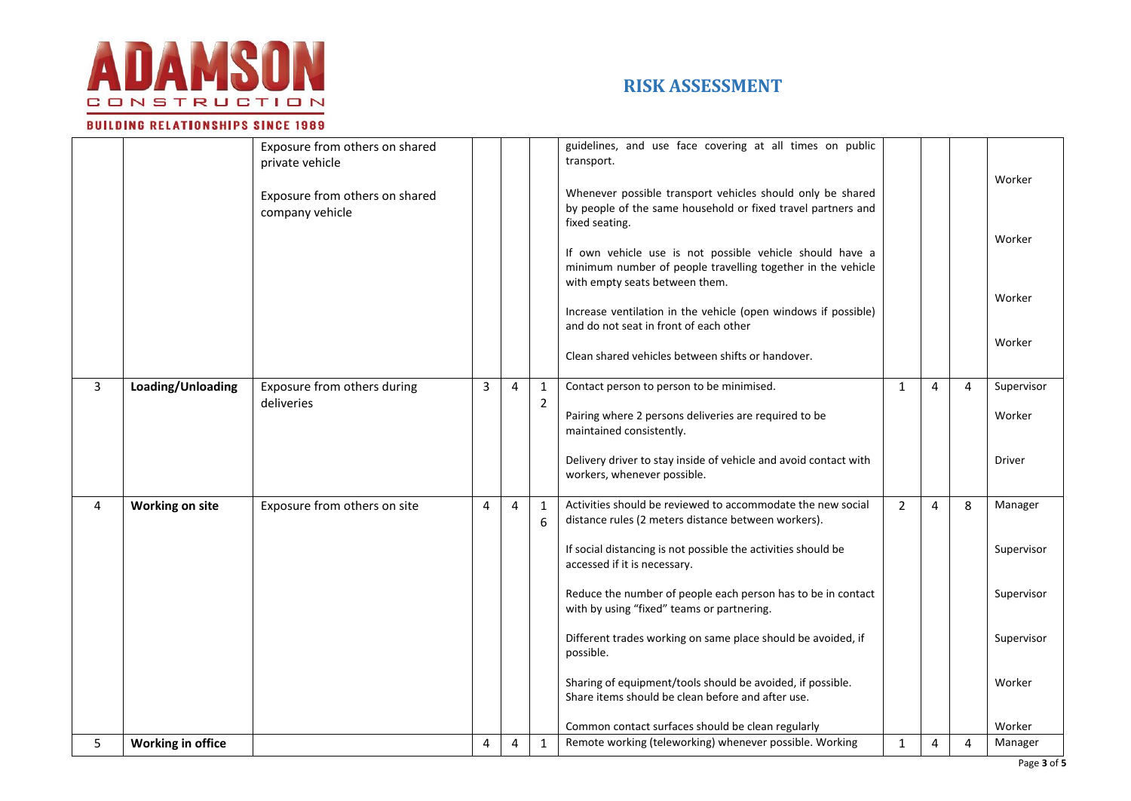

#### **BUILDING RELATIONSHIPS SINCE 1989**

|                |                        | Exposure from others on shared<br>private vehicle<br>Exposure from others on shared<br>company vehicle |   |                |                                | guidelines, and use face covering at all times on public<br>transport.<br>Whenever possible transport vehicles should only be shared<br>by people of the same household or fixed travel partners and<br>fixed seating.<br>If own vehicle use is not possible vehicle should have a<br>minimum number of people travelling together in the vehicle<br>with empty seats between them.<br>Increase ventilation in the vehicle (open windows if possible)<br>and do not seat in front of each other<br>Clean shared vehicles between shifts or handover. |                |   |   | Worker<br>Worker<br>Worker<br>Worker |
|----------------|------------------------|--------------------------------------------------------------------------------------------------------|---|----------------|--------------------------------|------------------------------------------------------------------------------------------------------------------------------------------------------------------------------------------------------------------------------------------------------------------------------------------------------------------------------------------------------------------------------------------------------------------------------------------------------------------------------------------------------------------------------------------------------|----------------|---|---|--------------------------------------|
| $\overline{3}$ | Loading/Unloading      | Exposure from others during<br>deliveries                                                              | 3 | $\overline{4}$ | $\mathbf{1}$<br>$\overline{2}$ | Contact person to person to be minimised.                                                                                                                                                                                                                                                                                                                                                                                                                                                                                                            | $\mathbf{1}$   | 4 | 4 | Supervisor                           |
|                |                        |                                                                                                        |   |                |                                | Pairing where 2 persons deliveries are required to be<br>maintained consistently.                                                                                                                                                                                                                                                                                                                                                                                                                                                                    |                |   |   | Worker                               |
|                |                        |                                                                                                        |   |                |                                | Delivery driver to stay inside of vehicle and avoid contact with<br>workers, whenever possible.                                                                                                                                                                                                                                                                                                                                                                                                                                                      |                |   |   | <b>Driver</b>                        |
| 4              | <b>Working on site</b> | Exposure from others on site                                                                           | 4 | $\overline{4}$ | $\mathbf{1}$<br>6              | Activities should be reviewed to accommodate the new social<br>distance rules (2 meters distance between workers).                                                                                                                                                                                                                                                                                                                                                                                                                                   | $\overline{2}$ | 4 | 8 | Manager                              |
|                |                        |                                                                                                        |   |                |                                | If social distancing is not possible the activities should be<br>accessed if it is necessary.                                                                                                                                                                                                                                                                                                                                                                                                                                                        |                |   |   | Supervisor                           |
|                |                        |                                                                                                        |   |                |                                | Reduce the number of people each person has to be in contact<br>with by using "fixed" teams or partnering.                                                                                                                                                                                                                                                                                                                                                                                                                                           |                |   |   | Supervisor                           |
|                |                        |                                                                                                        |   |                |                                | Different trades working on same place should be avoided, if<br>possible.                                                                                                                                                                                                                                                                                                                                                                                                                                                                            |                |   |   | Supervisor                           |
|                |                        |                                                                                                        |   |                |                                | Sharing of equipment/tools should be avoided, if possible.<br>Share items should be clean before and after use.                                                                                                                                                                                                                                                                                                                                                                                                                                      |                |   |   | Worker                               |
|                |                        |                                                                                                        |   |                |                                | Common contact surfaces should be clean regularly                                                                                                                                                                                                                                                                                                                                                                                                                                                                                                    |                |   |   | Worker                               |
| 5              | Working in office      |                                                                                                        | 4 | 4              | $\mathbf{1}$                   | Remote working (teleworking) whenever possible. Working                                                                                                                                                                                                                                                                                                                                                                                                                                                                                              | $\mathbf{1}$   | 4 | 4 | Manager                              |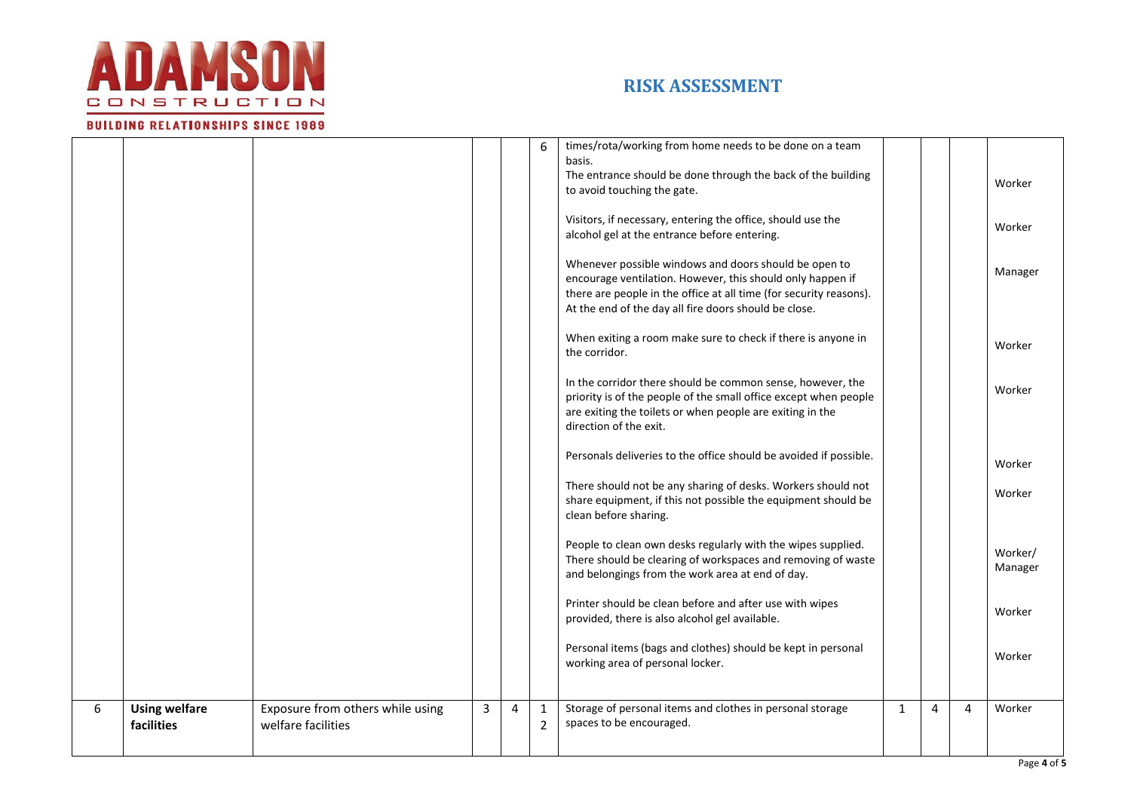

**BUILDING RELATIONSHIPS SINCE 1989** 

# **RISK ASSESSMENT**

#### $6 \mid$  times/rota/working from home needs to be done on a team basis. The entrance should be done through the back of the building to avoid touching the gate. Visitors, if necessary, entering the office, should use the alcohol gel at the entrance before entering. Whenever possible windows and doors should be open to encourage ventilation. However, this should only happen if there are people in the office at all time (for security reasons). At the end of the day all fire doors should be close. When exiting a room make sure to check if there is anyone in the corridor. In the corridor there should be common sense, however, the priority is of the people of the small office except when people are exiting the toilets or when people are exiting in the direction of the exit. Personals deliveries to the office should be avoided if possible. There should not be any sharing of desks. Workers should not share equipment, if this not possible the equipment should be clean before sharing. People to clean own desks regularly with the wipes supplied. There should be clearing of workspaces and removing of waste and belongings from the work area at end of day. Printer should be clean before and after use with wipes provided, there is also alcohol gel available. Personal items (bags and clothes) should be kept in personal working area of personal locker. Worker Worker Manager Worker Worker Worker Worker Worker/ Manager Worker Worker 6 **Using welfare facilities** Exposure from others while using welfare facilities  $3 | 4 | 1$ 2 Storage of personal items and clothes in personal storage spaces to be encouraged.  $1 \mid 4 \mid 4 \mid$  Worker